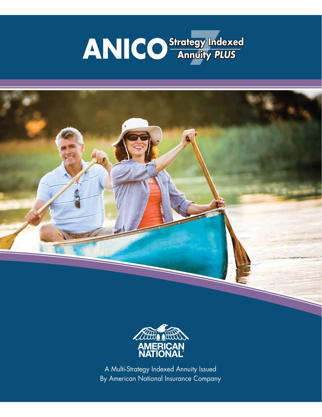





A Multi-Strategy Indexed Annuity Issued By American National Insurance Company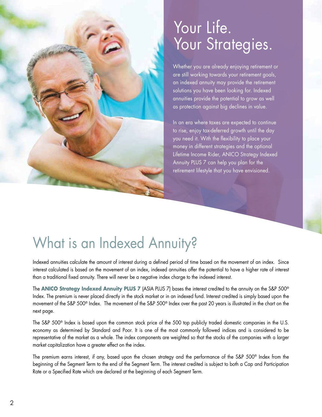

# Your Life. Your Strategies.

Whether you are already enjoying retirement or are still working towards your retirement goals, an indexed annuity may provide the retirement solutions you have been looking for. Indexed annuities provide the potential to grow as well as protection against big declines in value.

In an era where taxes are expected to continue to rise, enjoy tax-deferred growth until the day you need it. With the flexibility to place your money in different strategies and the optional Lifetime Income Rider, ANICO Strategy Indexed Annuity PLUS 7 can help you plan for the retirement lifestyle that you have envisioned.

# What is an Indexed Annuity?

Indexed annuities calculate the amount of interest during a defined period of time based on the movement of an index. Since interest calculated is based on the movement of an index, indexed annuities offer the potential to have a higher rate of interest than a traditional fixed annuity. There will never be a negative index charge to the indexed interest.

The **ANICO Strategy Indexed Annuity PLUS 7** (ASIA PLUS 7) bases the interest credited to the annuity on the S&P 500® Index. The premium is never placed directly in the stock market or in an indexed fund. Interest credited is simply based upon the movement of the S&P 500® Index. The movement of the S&P 500® Index over the past 20 years is illustrated in the chart on the next page.

The S&P 500<sup>®</sup> Index is based upon the common stock price of the 500 top publicly traded domestic companies in the U.S. economy as determined by Standard and Poor. It is one of the most commonly followed indices and is considered to be representative of the market as a whole. The index components are weighted so that the stocks of the companies with a larger market capitalization have a greater effect on the index.

The premium earns interest, if any, based upon the chosen strategy and the performance of the S&P 500® Index from the beginning of the Segment Term to the end of the Segment Term. The interest credited is subject to both a Cap and Participation Rate or a Specified Rate which are declared at the beginning of each Segment Term.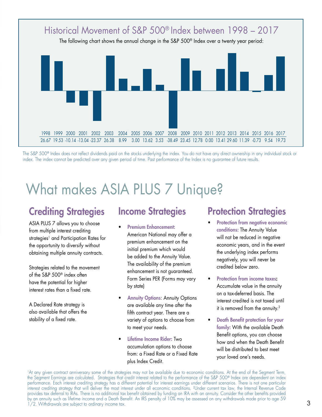

The S&P 500® Index does not reflect dividends paid on the stocks underlying the index. You do not have any direct ownership in any individual stock or index. The index cannot be predicted over any given period of time. Past performance of the Index is no guarantee of future results.

# What makes ASIA PLUS 7 Unique?

# Crediting Strategies

ASIA PLUS 7 allows you to choose from multiple interest crediting strategies<sup>1</sup> and Participation Rates for the opportunity to diversify without obtaining multiple annuity contracts.

Strategies related to the movement of the S&P 500® index often have the potential for higher interest rates than a fixed rate.

A Declared Rate strategy is also available that offers the stability of a fixed rate.

### Income Strategies

- Premium Enhancement: American National may offer a premium enhancement on the initial premium which would be added to the Annuity Value. The availability of the premium enhancement is not guaranteed. Form Series PER (Forms may vary by state)
- **Annuity Options: Annuity Options** are available any time after the fifth contract year. There are a variety of options to choose from to meet your needs.
- Lifetime Income Rider: Two accumulation options to choose from: a Fixed Rate or a Fixed Rate plus Index Credit.

# Protection Strategies

- Protection from negative economic conditions: The Annuity Value will not be reduced in negative economic years, and in the event the underlying index performs negatively, you will never be credited below zero.
- Protection from income taxes: Accumulate value in the annuity on a tax-deferred basis. The interest credited is not taxed until it is removed from the annuity.<sup>2</sup>
- Death Benefit protection for your family: With the available Death Benefit options, you can choose how and when the Death Benefit will be distributed to best meet your loved one's needs.

1At any given contract anniversary some of the strategies may not be available due to economic conditions. At the end of the Segment Term, the Segment Earnings are calculated. Strategies that credit interest related to the performance of the S&P 500® Index are dependent on index performance. Each interest crediting strategy has a different potential for interest earnings under different scenarios. There is not one particular interest crediting strategy that will deliver the most interest under all economic conditions. 2Under current tax law, the Internal Revenue Code provides tax deferral to IRAs. There is no additional tax benefit obtained by funding an IRA with an annuity. Consider the other benefits provided by an annuity such as lifetime income and a Death Benefit. An IRS penalty of 10% may be assessed on any withdrawals made prior to age 59 1/2. Withdrawals are subject to ordinary income tax.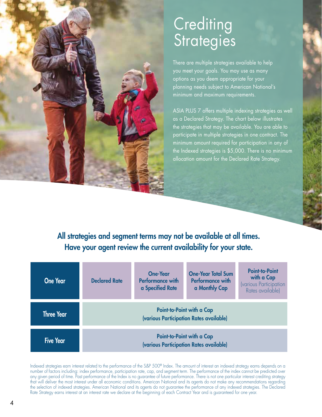

# **Crediting Strategies**

There are multiple strategies available to help you meet your goals. You may use as many options as you deem appropriate for your planning needs subject to American National's minimum and maximum requirements.

ASIA PLUS 7 offers multiple indexing strategies as well as a Declared Strategy. The chart below illustrates the strategies that may be available. You are able to participate in multiple strategies in one contract. The minimum amount required for participation in any of the Indexed strategies is \$5,000. There is no minimum allocation amount for the Declared Rate Strategy.

### All strategies and segment terms may not be available at all times. Have your agent review the current availability for your state.

| <b>One Year</b>   | <b>Declared Rate</b>                                                 | <b>One-Year</b><br><b>Performance with</b><br>a Specified Rate | <b>One-Year Total Sum</b><br><b>Performance with</b><br>a Monthly Cap | <b>Point-to-Point</b><br>with a Cap<br>(various Participation)<br>Rates available) |  |  |  |  |
|-------------------|----------------------------------------------------------------------|----------------------------------------------------------------|-----------------------------------------------------------------------|------------------------------------------------------------------------------------|--|--|--|--|
| <b>Three Year</b> | Point-to-Point with a Cap<br>(various Participation Rates available) |                                                                |                                                                       |                                                                                    |  |  |  |  |
| <b>Five Year</b>  | Point-to-Point with a Cap<br>(various Participation Rates available) |                                                                |                                                                       |                                                                                    |  |  |  |  |

Indexed strategies earn interest related to the performance of the S&P 500® Index. The amount of interest an indexed strategy earns depends on a number of factors including: index performance, participation rate, cap, and segment term. The performance of the index cannot be predicted over any given period ot time. Past performance ot the Index is no guarantee ot tuture performance. There is not one particular interest crediting strategy that will deliver the most interest under all economic conditions. American National and its agents do not make any recommendations regarding the selection of indexed strategies. American National and its agents do not guarantee the performance of any indexed strategies. The Declared Rate Strategy earns interest at an interest rate we declare at the beginning of each Contract Year and is guaranteed for one year.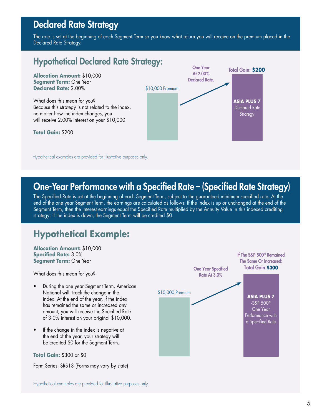# Declared Rate Strategy

The rate is set at the beginning of each Segment Term so you know what return you will receive on the premium placed in the Declared Rate Strategy.

## Hypothetical Declared Rate Strategy:

**Allocation Amount:** \$10,000 **Segment Term:** One Year **Declared Rate:** 2.00%

What does this mean for you? Because this strategy is not related to the index, no matter how the index changes, you will receive 2.00% interest on your \$10,000

**Total Gain:** \$200



Hypothetical examples are provided for illustrative purposes only.

# One-Year Performance with a Specified Rate – (Specified Rate Strategy)

The Specified Rate is set at the beginning of each Segment Term, subject to the guaranteed minimum specified rate. At the end of the one year Segment Term, the earnings are calculated as follows: If the index is up or unchanged at the end of the Segment Term, then the interest earnings equal the Specified Rate multiplied by the Annuity Value in this indexed crediting strategy; if the index is down, the Segment Term will be credited \$0.

# **Hypothetical Example:**

**Allocation Amount:** \$10,000 **Specified Rate:** 3.0% **Segment Term:** One Year

What does this mean for you?:

- During the one year Segment Term, American National will track the change in the index. At the end of the year, if the index has remained the same or increased any amount, you will receive the Specified Rate of 3.0% interest on your original \$10,000.
- If the change in the index is negative at the end of the year, your strategy will be credited \$0 for the Segment Term.

#### **Total Gain:** \$300 or \$0

Form Series: SRS13 (Forms may vary by state)



Hypothetical examples are provided for illustrative purposes only.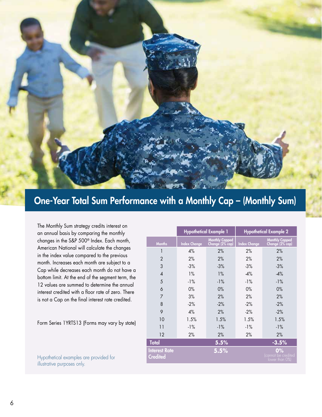

# One-Year Total Sum Performance with a Monthly Cap – (Monthly Sum)

The Monthly Sum strategy credits interest on an annual basis by comparing the monthly changes in the S&P 500® Index. Each month, American National will calculate the changes in the index value compared to the previous month. Increases each month are subject to a Cap while decreases each month do not have a bottom limit. At the end of the segment term, the 12 values are summed to determine the annual interest credited with a floor rate of zero. There is not a Cap on the final interest rate credited.

Form Series 1YRTS13 (Forms may vary by state)

Hypothetical examples are provided for illustrative purposes only.

|                                         | <b>Hypothetical Example 1</b> |                                          | <b>Hypothetical Example 2</b> |                                                |  |  |
|-----------------------------------------|-------------------------------|------------------------------------------|-------------------------------|------------------------------------------------|--|--|
| <b>Months</b>                           | <b>Index Change</b>           | <b>Monthly Capped</b><br>Change (2% cap) | <b>Index Change</b>           | Monthly Capped<br>Change (2% cap)              |  |  |
| 1                                       | 4%                            | 2%                                       | 2%                            | 2%                                             |  |  |
| $\overline{2}$                          | 2%                            | 2%                                       | 2%                            | 2%                                             |  |  |
| 3                                       | $-3%$                         | $-3%$                                    | $-3%$                         | $-3%$                                          |  |  |
| $\overline{4}$                          | 1%                            | $1\%$                                    | $-4%$                         | $-4%$                                          |  |  |
| 5                                       | $-1%$                         | $-1%$                                    | $-1\%$                        | $-1%$                                          |  |  |
| 6                                       | $0\%$                         | 0%                                       | $0\%$                         | 0%                                             |  |  |
| 7                                       | 3%                            | 2%                                       | 2%                            | 2%                                             |  |  |
| 8                                       | $-2%$                         | $-2%$                                    | $-2%$                         | $-2%$                                          |  |  |
| 9                                       | 4%                            | 2%                                       | $-2%$                         | $-2%$                                          |  |  |
| 10                                      | 1.5%                          | 1.5%                                     | 1.5%                          | 1.5%                                           |  |  |
| 11                                      | $-1%$                         | $-1%$                                    | $-1\%$                        | $-1%$                                          |  |  |
| 12                                      | 2%                            | 2%                                       | 2%                            | 2%                                             |  |  |
| <b>Total</b>                            |                               | 5.5%                                     |                               | $-3.5%$                                        |  |  |
| <b>Interest Rate</b><br><b>Credited</b> |                               | 5.5%                                     |                               | $0\%$<br>(cannot be credited<br>lower than 0%) |  |  |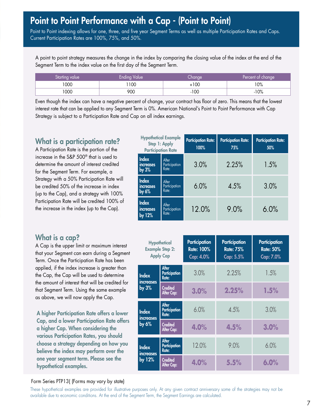## Point to Point Performance with a Cap - (Point to Point)

Point to Point indexing allows for one, three, and five year Segment Terms as well as multiple Participation Rates and Caps. Current Participation Rates are 100%, 75%, and 50%.

A point to point strategy measures the change in the index by comparing the closing value of the index at the end of the Segment Term to the index value on the first day of the Segment Term.

| Starting value | <b>Ending Value</b> | Change' | Percent of change |  |  |
|----------------|---------------------|---------|-------------------|--|--|
| 1000           | 100                 | +100    | 10%               |  |  |
| 1000           | 900                 | 100     | $-10%$            |  |  |

Even though the index can have a negative percent of change, your contract has floor of zero. This means that the lowest interest rate that can be applied to any Segment Term is 0%. American National's Point to Point Performance with Cap Strategy is subject to a Participation Rate and Cap on all index earnings.

### What is a participation rate?

A Participation Rate is the portion of the increase in the S&P 500® that is used to determine the amount of interest credited for the Segment Term. For example, a Strategy with a 50% Participation Rate will be credited 50% of the increase in index (up to the Cap), and a strategy with 100% Participation Rate will be credited 100% of the increase in the index (up to the Cap).

### What is a cap?

A Cap is the upper limit or maximum interest that your Segment can earn during a Segment Term. Once the Participation Rate has been applied, if the index increase is greater than the Cap, the Cap will be used to determine the amount of interest that will be credited for that Segment Term. Using the same example as above, we will now apply the Cap.

A higher Participation Rate offers a lower Cap, and a lower Participation Rate offers a higher Cap. When considering the various Participation Rates, you should choose a strategy depending on how you believe the index may perform over the one year segment term. Please see the hypothetical examples.

Form Series PTP13( (Forms may vary by state)

| <b>Hypothetical Example</b><br>Step 1: Apply<br><b>Participation Rate</b> |                                 | <b>Participation Rate:</b><br>100% | <b>Participation Rate:</b><br>75% | <b>Participation Rate:</b><br>50% |
|---------------------------------------------------------------------------|---------------------------------|------------------------------------|-----------------------------------|-----------------------------------|
| <b>Index</b><br><i>increases</i><br>by $3%$                               | After<br>Participation<br>Rate: | 3.0%                               | 2.25%                             | 1.5%                              |
| <b>Index</b><br><i>increases</i><br>by $6%$                               | After<br>Participation<br>Rate: | 6.0%                               | 4.5%                              | 3.0%                              |
| <b>Index</b><br><i>increases</i><br>by 12%                                | After<br>Participation<br>Rate: | 12.0%                              | 9.0%                              | 6.0%                              |

| <b>Hypothetical</b><br><b>Example Step 2:</b><br><b>Apply Cap</b> |                                        | <b>Participation</b><br><b>Rate: 100%</b><br>Cap: 4.0% | Participation<br><b>Rate: 75%</b><br>Cap: 5.5% | Participation<br><b>Rate: 50%</b><br>Cap: 7.0% |  |  |
|-------------------------------------------------------------------|----------------------------------------|--------------------------------------------------------|------------------------------------------------|------------------------------------------------|--|--|
| <b>Index</b><br><i>increases</i>                                  | <b>After</b><br>Participation<br>Rate: | 3.0%                                                   | 2.25%                                          | 1.5%                                           |  |  |
| by $3%$                                                           | <b>Credited</b><br>After Cap:          | 3.0%                                                   | 2.25%                                          | 1.5%                                           |  |  |
| <b>Index</b><br><i>increases</i>                                  | <b>After</b><br>Participation<br>Rate: | 6.0%                                                   | 4.5%                                           | 3.0%                                           |  |  |
| by $6\%$                                                          | <b>Credited</b><br>After Cap:          | 4.0%                                                   | 4.5%                                           | 3.0%                                           |  |  |
| <b>Index</b><br><i>increases</i>                                  | <b>After</b><br>Participation<br>Rate: | 12.0%                                                  | 9.0%                                           | 6.0%                                           |  |  |
| by 12%                                                            | <b>Credited</b><br><b>After Cap:</b>   | 4.0%                                                   | 5.5%                                           | 6.0%                                           |  |  |

These hypothetical examples are provided for illustrative purposes only. At any given contract anniversary some of the strategies may not be available due to economic conditions. At the end of the Segment Term, the Segment Earnings are calculated.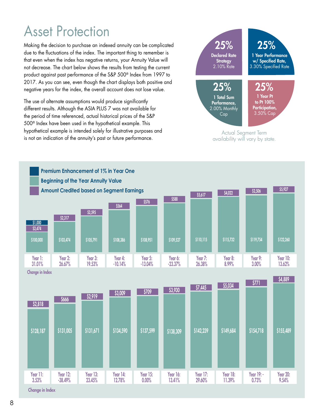# Asset Protection

Making the decision to purchase an indexed annuity can be complicated due to the fluctuations of the index. The important thing to remember is that even when the index has negative returns, your Annuity Value will not decrease. The chart below shows the results from testing the current product against past performance of the S&P 500® Index from 1997 to 2017. As you can see, even though the chart displays both positive and negative years for the index, the overall account does not lose value.

The use of alternate assumptions would produce significantly different results. Although the ASIA PLUS 7 was not available for the period of time referenced, actual historical prices of the S&P 500® Index have been used in the hypothetical example. This hypothetical example is intended solely for illustrative purposes and is not an indication of the annuity's past or future performance.



Actual Segment Term availability will vary by state.

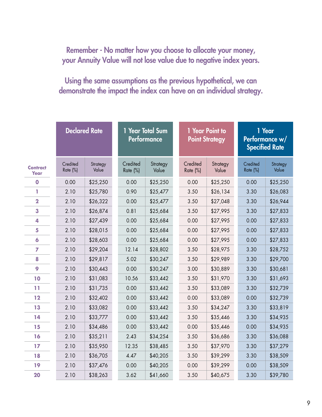Remember - No matter how you choose to allocate your money, your Annuity Value will not lose value due to negative index years.

Using the same assumptions as the previous hypothetical, we can demonstrate the impact the index can have on an individual strategy.

|                                |                      | <b>Declared Rate</b><br>1 Year Total Sum<br>Performance |                      |                   |  |                      |                   |                      | 1 Year Point to<br><b>Point Strategy</b> |  | 1 Year<br>Performance w/<br><b>Specified Rate</b> |  |
|--------------------------------|----------------------|---------------------------------------------------------|----------------------|-------------------|--|----------------------|-------------------|----------------------|------------------------------------------|--|---------------------------------------------------|--|
| <b>Contract</b><br><b>Year</b> | Credited<br>Rate (%) | Strategy<br>Value                                       | Credited<br>Rate (%) | Strategy<br>Value |  | Credited<br>Rate (%) | Strategy<br>Value | Credited<br>Rate (%) | Strategy<br>Value                        |  |                                                   |  |
| $\bullet$                      | 0.00                 | \$25,250                                                | 0.00                 | \$25,250          |  | 0.00                 | \$25,250          | 0.00                 | \$25,250                                 |  |                                                   |  |
| T                              | 2.10                 | \$25,780                                                | 0.90                 | \$25,477          |  | 3.50                 | \$26,134          | 3.30                 | \$26,083                                 |  |                                                   |  |
| $\overline{\mathbf{2}}$        | 2.10                 | \$26,322                                                | 0.00                 | \$25,477          |  | 3.50                 | \$27,048          | 3.30                 | \$26,944                                 |  |                                                   |  |
| 3                              | 2.10                 | \$26,874                                                | 0.81                 | \$25,684          |  | 3.50                 | \$27,995          | 3.30                 | \$27,833                                 |  |                                                   |  |
| 4                              | 2.10                 | \$27,439                                                | 0.00                 | \$25,684          |  | 0.00                 | \$27,995          | 0.00                 | \$27,833                                 |  |                                                   |  |
| 5                              | 2.10                 | \$28,015                                                | 0.00                 | \$25,684          |  | 0.00                 | \$27,995          | 0.00                 | \$27,833                                 |  |                                                   |  |
| 6                              | 2.10                 | \$28,603                                                | 0.00                 | \$25,684          |  | 0.00                 | \$27,995          | 0.00                 | \$27,833                                 |  |                                                   |  |
| 7                              | 2.10                 | \$29,204                                                | 12.14                | \$28,802          |  | 3.50                 | \$28,975          | 3.30                 | \$28,752                                 |  |                                                   |  |
| 8                              | 2.10                 | \$29,817                                                | 5.02                 | \$30,247          |  | 3.50                 | \$29,989          | 3.30                 | \$29,700                                 |  |                                                   |  |
| 9                              | 2.10                 | \$30,443                                                | 0.00                 | \$30,247          |  | 3.00                 | \$30,889          | 3.30                 | \$30,681                                 |  |                                                   |  |
| 10                             | 2.10                 | \$31,083                                                | 10.56                | \$33,442          |  | 3.50                 | \$31,970          | 3.30                 | \$31,693                                 |  |                                                   |  |
| 11                             | 2.10                 | \$31,735                                                | 0.00                 | \$33,442          |  | 3.50                 | \$33,089          | 3.30                 | \$32,739                                 |  |                                                   |  |
| 12                             | 2.10                 | \$32,402                                                | 0.00                 | \$33,442          |  | 0.00                 | \$33,089          | 0.00                 | \$32,739                                 |  |                                                   |  |
| 13                             | 2.10                 | \$33,082                                                | 0.00                 | \$33,442          |  | 3.50                 | \$34,247          | 3.30                 | \$33,819                                 |  |                                                   |  |
| 14                             | 2.10                 | \$33,777                                                | 0.00                 | \$33,442          |  | 3.50                 | \$35,446          | 3.30                 | \$34,935                                 |  |                                                   |  |
| 15                             | 2.10                 | \$34,486                                                | 0.00                 | \$33,442          |  | 0.00                 | \$35,446          | 0.00                 | \$34,935                                 |  |                                                   |  |
| 16                             | 2.10                 | \$35,211                                                | 2.43                 | \$34,254          |  | 3.50                 | \$36,686          | 3.30                 | \$36,088                                 |  |                                                   |  |
| 17                             | 2.10                 | \$35,950                                                | 12.35                | \$38,485          |  | 3.50                 | \$37,970          | 3.30                 | \$37,279                                 |  |                                                   |  |
| 18                             | 2.10                 | \$36,705                                                | 4.47                 | \$40,205          |  | 3.50                 | \$39,299          | 3.30                 | \$38,509                                 |  |                                                   |  |
| 19                             | 2.10                 | \$37,476                                                | 0.00                 | \$40,205          |  | 0.00                 | \$39,299          | 0.00                 | \$38,509                                 |  |                                                   |  |
| 20                             | 2.10                 | \$38,263                                                | 3.62                 | \$41,660          |  | 3.50                 | \$40,675          | 3.30                 | \$39,780                                 |  |                                                   |  |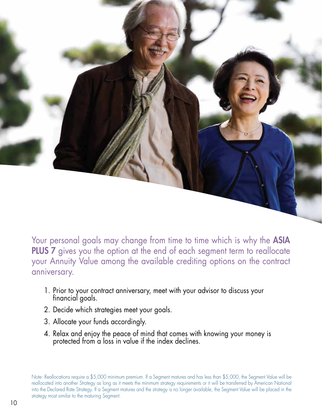Your personal goals may change from time to time which is why the ASIA PLUS 7 gives you the option at the end of each segment term to reallocate your Annuity Value among the available crediting options on the contract anniversary.

- 1. Prior to your contract anniversary, meet with your advisor to discuss your financial goals.
- 2. Decide which strategies meet your goals.
- 3. Allocate your funds accordingly.
- 4. Relax and enjoy the peace of mind that comes with knowing your money is protected from a loss in value if the index declines.

Note: Reallocations require a \$5,000 minimum premium. If a Segment matures and has less than \$5,000, the Segment Value will be reallocated into another Strategy as long as it meets the minimum strategy requirements or it will be transferred by American National into the Declared Rate Strategy. If a Segment matures and the strategy is no longer available, the Segment Value will be placed in the strategy most similar to the maturing Segment.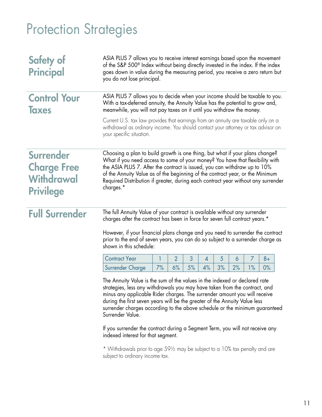# Protection Strategies

| Safety of<br><b>Principal</b>                                                                                                                                                                                                                                                                                                                                                                                          | ASIA PLUS 7 allows you to receive interest earnings based upon the movement<br>of the S&P 500 <sup>®</sup> Index without being directly invested in the index. If the index<br>goes down in value during the measuring period, you receive a zero return but<br>you do not lose principal.<br>ASIA PLUS 7 allows you to decide when your income should be taxable to you.                                                     |    |                |    |    |    |    |    |      |  |
|------------------------------------------------------------------------------------------------------------------------------------------------------------------------------------------------------------------------------------------------------------------------------------------------------------------------------------------------------------------------------------------------------------------------|-------------------------------------------------------------------------------------------------------------------------------------------------------------------------------------------------------------------------------------------------------------------------------------------------------------------------------------------------------------------------------------------------------------------------------|----|----------------|----|----|----|----|----|------|--|
| <b>Control Your</b><br><b>Taxes</b>                                                                                                                                                                                                                                                                                                                                                                                    | With a tax-deferred annuity, the Annuity Value has the potential to grow and,<br>meanwhile, you will not pay taxes on it until you withdraw the money.                                                                                                                                                                                                                                                                        |    |                |    |    |    |    |    |      |  |
|                                                                                                                                                                                                                                                                                                                                                                                                                        | Current U.S. tax law provides that earnings from an annuity are taxable only on a<br>withdrawal as ordinary income. You should contact your attorney or tax advisor on<br>your specific situation.                                                                                                                                                                                                                            |    |                |    |    |    |    |    |      |  |
| <b>Surrender</b><br><b>Charge Free</b><br><b>Withdrawal</b><br><b>Privilege</b>                                                                                                                                                                                                                                                                                                                                        | Choosing a plan to build growth is one thing, but what if your plans change?<br>What if you need access to some of your money? You have that flexibility with<br>the ASIA PLUS 7. After the contract is issued, you can withdraw up to 10%<br>of the Annuity Value as of the beginning of the contract year, or the Minimum<br>Required Distribution if greater, during each contract year without any surrender<br>charges.* |    |                |    |    |    |    |    |      |  |
| <b>Full Surrender</b>                                                                                                                                                                                                                                                                                                                                                                                                  | The full Annuity Value of your contract is available without any surrender<br>charges after the contract has been in force for seven full contract years.*<br>However, if your financial plans change and you need to surrender the contract<br>prior to the end of seven years, you can do so subject to a surrender charge as<br>shown in this schedule:                                                                    |    |                |    |    |    |    |    |      |  |
|                                                                                                                                                                                                                                                                                                                                                                                                                        | <b>Contract Year</b>                                                                                                                                                                                                                                                                                                                                                                                                          |    | $\overline{2}$ | 3  | 4  | 5  | 6  | 7  | $8+$ |  |
|                                                                                                                                                                                                                                                                                                                                                                                                                        | Surrender Charge                                                                                                                                                                                                                                                                                                                                                                                                              | 7% | 6%             | 5% | 4% | 3% | 2% | 1% | 0%   |  |
| The Annuity Value is the sum of the values in the indexed or declared rate<br>strategies, less any withdrawals you may have taken from the contract, and<br>minus any applicable Rider charges. The surrender amount you will receive<br>during the first seven years will be the greater of the Annuity Value less<br>surrender charges according to the above schedule or the minimum guaranteed<br>Surrender Value. |                                                                                                                                                                                                                                                                                                                                                                                                                               |    |                |    |    |    |    |    |      |  |
|                                                                                                                                                                                                                                                                                                                                                                                                                        | If you surrender the contract during a Segment Term, you will not receive any<br>indexed interest for that segment.                                                                                                                                                                                                                                                                                                           |    |                |    |    |    |    |    |      |  |
| * Withdrawals prior to age 591/2 may be subject to a 10% tax penalty and are<br>subject to ordinary income tax.                                                                                                                                                                                                                                                                                                        |                                                                                                                                                                                                                                                                                                                                                                                                                               |    |                |    |    |    |    |    |      |  |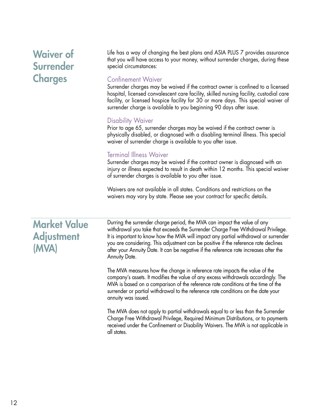| <b>Waiver of</b><br>Surrender                     | Life has a way of changing the best plans and ASIA PLUS 7 provides assurance<br>that you will have access to your money, without surrender charges, during these<br>special circumstances:                                                                                                                                                                                                                                                           |
|---------------------------------------------------|------------------------------------------------------------------------------------------------------------------------------------------------------------------------------------------------------------------------------------------------------------------------------------------------------------------------------------------------------------------------------------------------------------------------------------------------------|
| <b>Charges</b>                                    | <b>Confinement Waiver</b><br>Surrender charges may be waived if the contract owner is confined to a licensed<br>hospital, licensed convalescent care facility, skilled nursing facility, custodial care<br>facility, or licensed hospice facility for 30 or more days. This special waiver of<br>surrender charge is available to you beginning 90 days after issue.                                                                                 |
|                                                   | <b>Disability Waiver</b><br>Prior to age 65, surrender charges may be waived if the contract owner is<br>physically disabled, or diagnosed with a disabling terminal illness. This special<br>waiver of surrender charge is available to you after issue.                                                                                                                                                                                            |
|                                                   | <b>Terminal Illness Waiver</b><br>Surrender charges may be waived if the contract owner is diagnosed with an<br>injury or illness expected to result in death within 12 months. This special waiver<br>of surrender charges is available to you after issue.                                                                                                                                                                                         |
|                                                   | Waivers are not available in all states. Conditions and restrictions on the<br>waivers may vary by state. Please see your contract for specific details.                                                                                                                                                                                                                                                                                             |
| <b>Market Value</b><br><b>Adjustment</b><br>(MVA) | Durring the surrender charge period, the MVA can impact the value of any<br>withdrawal you take that exceeds the Surrender Charge Free Withdrawal Privilege.<br>It is important to know how the MVA will impact any partial withdrawal or surrender<br>you are considering. This adjustment can be positive if the reference rate declines<br>after your Annuity Date. It can be negative if the reference rate increases after the<br>Annuity Date. |
|                                                   | The MVA measures how the change in reference rate impacts the value of the<br>company's assets. It modifies the value of any excess withdrawals accordingly. The<br>MVA is based on a comparison of the reference rate conditions at the time of the<br>surrender or partial withdrawal to the reference rate conditions on the date your<br>annuity was issued.                                                                                     |
|                                                   | The MVA does not apply to partial withdrawals equal to or less than the Surrender<br>Charge Free Withdrawal Privilege, Required Minimum Distributions, or to payments<br>received under the Confinement or Disability Waivers. The MVA is not applicable in<br>all states.                                                                                                                                                                           |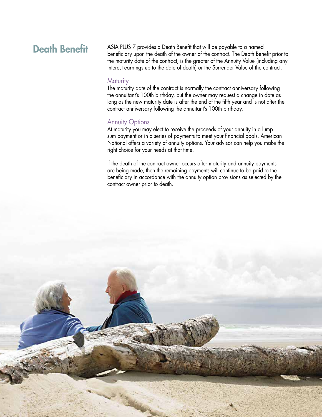**Death Benefit** ASIA PLUS 7 provides a Death Benefit that will be payable to a named beneficiary upon the death of the owner of the contract. The Death Benefit prior to the maturity date of the contract, is the greater of the Annuity Value (including any interest earnings up to the date of death) or the Surrender Value of the contract.

#### **Maturity**

The maturity date of the contract is normally the contract anniversary following the annuitant's 100th birthday, but the owner may request a change in date as long as the new maturity date is after the end of the fifth year and is not after the contract anniversary following the annuitant's 100th birthday.

#### Annuity Options

At maturity you may elect to receive the proceeds of your annuity in a lump sum payment or in a series of payments to meet your financial goals. American National offers a variety of annuity options. Your advisor can help you make the right choice for your needs at that time.

If the death of the contract owner occurs after maturity and annuity payments are being made, then the remaining payments will continue to be paid to the beneficiary in accordance with the annuity option provisions as selected by the contract owner prior to death.

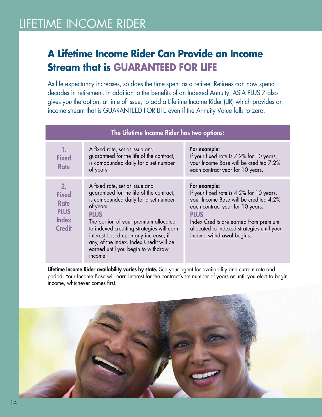# **A Lifetime Income Rider Can Provide an Income Stream that is GUARANTEED FOR LIFE**

As life expectancy increases, so does the time spent as a retiree. Retirees can now spend decades in retirement. In addition to the benefits of an Indexed Annuity, ASIA PLUS 7 also gives you the option, at time of issue, to add a Lifetime Income Rider (LIR) which provides an income stream that is GUARANTEED FOR LIFE even if the Annuity Value falls to zero.

|                                                                                   | The Lifetime Income Rider has two options:                                                                                                                                                                                                                                                                                                                               |                                                                                                                                                                                                                                                                           |
|-----------------------------------------------------------------------------------|--------------------------------------------------------------------------------------------------------------------------------------------------------------------------------------------------------------------------------------------------------------------------------------------------------------------------------------------------------------------------|---------------------------------------------------------------------------------------------------------------------------------------------------------------------------------------------------------------------------------------------------------------------------|
| -1.<br><b>Fixed</b><br><b>Rate</b>                                                | A fixed rate, set at issue and<br>guaranteed for the life of the contract,<br>is compounded daily for a set number<br>of years.                                                                                                                                                                                                                                          | For example:<br>If your fixed rate is 7.2% for 10 years,<br>your Income Base will be credited 7.2%<br>each contract year for 10 years.                                                                                                                                    |
| 2.<br><b>Fixed</b><br><b>Rate</b><br><b>PLUS</b><br><b>Index</b><br><b>Credit</b> | A fixed rate, set at issue and<br>guaranteed for the life of the contract,<br>is compounded daily for a set number<br>of years.<br><b>PLUS</b><br>The portion of your premium allocated<br>to indexed crediting strategies will earn<br>interest based upon any increase, if<br>any, of the Index. Index Credit will be<br>earned until you begin to withdraw<br>income. | For example:<br>If your fixed rate is 4.2% for 10 years,<br>your Income Base will be credited 4.2%<br>each contract year for 10 years.<br><b>PLUS</b><br>Index Credits are earned from premium<br>allocated to indexed strategies until your<br>income withdrawal begins. |

Lifetime Income Rider availability varies by state. See your agent for availability and current rate and period. Your Income Base will earn interest for the contract's set number of years or until you elect to begin income, whichever comes first.

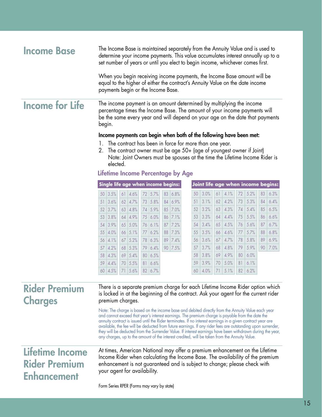| <b>Income Base</b>                                            | The Income Base is maintained separately from the Annuity Value and is used to<br>determine your income payments. This value accumulates interest annually up to a<br>set number of years or until you elect to begin income, whichever comes first.<br>When you begin receiving income payments, the Income Base amount will be<br>equal to the higher of either the contract's Annuity Value on the date income<br>payments begin or the Income Base.                                                                                                                                                                                            |  |  |  |  |  |  |  |
|---------------------------------------------------------------|----------------------------------------------------------------------------------------------------------------------------------------------------------------------------------------------------------------------------------------------------------------------------------------------------------------------------------------------------------------------------------------------------------------------------------------------------------------------------------------------------------------------------------------------------------------------------------------------------------------------------------------------------|--|--|--|--|--|--|--|
|                                                               |                                                                                                                                                                                                                                                                                                                                                                                                                                                                                                                                                                                                                                                    |  |  |  |  |  |  |  |
| <b>Income for Life</b>                                        | The income payment is an amount determined by multiplying the income<br>percentage times the Income Base. The amount of your income payments will<br>be the same every year and will depend on your age on the date that payments<br>begin.                                                                                                                                                                                                                                                                                                                                                                                                        |  |  |  |  |  |  |  |
|                                                               | Income payments can begin when both of the following have been met:<br>The contract has been in force for more than one year.<br>1.<br>The contract owner must be age 50+ (age of youngest owner if Joint)<br>2.<br>Note: Joint Owners must be spouses at the time the Lifetime Income Rider is<br>elected.                                                                                                                                                                                                                                                                                                                                        |  |  |  |  |  |  |  |
|                                                               | Lifetime Income Percentage by Age                                                                                                                                                                                                                                                                                                                                                                                                                                                                                                                                                                                                                  |  |  |  |  |  |  |  |
|                                                               | Single life age when income begins:<br>Joint life age when income begins:                                                                                                                                                                                                                                                                                                                                                                                                                                                                                                                                                                          |  |  |  |  |  |  |  |
|                                                               | 5.2%<br>3.5%<br>61   4.6%<br>5.7%<br>3.0%<br>4.1%<br>72<br>83<br>6.3%<br>50<br>72<br>83<br>6.8%<br>61<br>50                                                                                                                                                                                                                                                                                                                                                                                                                                                                                                                                        |  |  |  |  |  |  |  |
|                                                               | 62<br>4.2%<br>73<br>5.3%<br>3.6%<br>4.7%<br>73<br>5.8%<br>6.9%<br>3.1%<br>84<br>6.4%<br>51<br>62<br>84<br>51                                                                                                                                                                                                                                                                                                                                                                                                                                                                                                                                       |  |  |  |  |  |  |  |
|                                                               | 4.3%<br>5.4%<br>7.0%<br>52<br>3.2%<br>74<br>6.5%<br>3.7%<br>4.8%<br>74<br>5.9%<br>85<br>63<br>85<br>52<br>63<br>4.4%<br>75<br>6.6%<br>3.3%<br>64<br>5.5%<br>53<br>86                                                                                                                                                                                                                                                                                                                                                                                                                                                                               |  |  |  |  |  |  |  |
|                                                               | 4.9%<br>3.8%<br>75<br>6.0%<br>7.1%<br>53<br>64<br>86<br>4.5%<br>5.6%<br>3.9%<br>5.0%<br>6.1%<br>7.2%<br>3.4%<br>76<br>6.7%<br>65<br>54<br>65<br>87<br>54<br>76<br>87                                                                                                                                                                                                                                                                                                                                                                                                                                                                               |  |  |  |  |  |  |  |
|                                                               | 3.5%<br>4.6%<br>5.7%<br>6.8%<br>4.0%<br>5.1%<br>6.2%<br>7.3%<br>55<br>66<br>77<br>88<br>55<br>66<br>77<br>88                                                                                                                                                                                                                                                                                                                                                                                                                                                                                                                                       |  |  |  |  |  |  |  |
|                                                               | 4.7%<br>78<br>5.8%<br>6.9%<br>3.6%<br>67<br>89<br>4.1%<br>5.2%<br>6.3%<br>56<br>78<br>89<br>7.4%<br>56<br>67                                                                                                                                                                                                                                                                                                                                                                                                                                                                                                                                       |  |  |  |  |  |  |  |
|                                                               | 5.9%<br>3.7%<br>4.8%<br>7.0%<br>79<br>90<br>4.2%<br>5.3%<br>6.4%<br>57<br>68<br>79<br>90 7.5%<br>57<br>68                                                                                                                                                                                                                                                                                                                                                                                                                                                                                                                                          |  |  |  |  |  |  |  |
|                                                               | 4.9%<br>80<br>6.0%<br>4.3%<br>5.4%<br>6.5%<br>58<br>3.8%<br>69<br>58<br>69<br>80                                                                                                                                                                                                                                                                                                                                                                                                                                                                                                                                                                   |  |  |  |  |  |  |  |
|                                                               | 6.1%<br>5.0%<br>4.4%<br>5.5%<br>6.6%<br>59<br>3.9%<br>70<br>81<br>59<br>70<br>81                                                                                                                                                                                                                                                                                                                                                                                                                                                                                                                                                                   |  |  |  |  |  |  |  |
|                                                               | 5.1%<br>6.2%<br>4.0%<br>71<br>82<br>60 4.5%<br>71 5.6%<br>82 6.7%<br>60                                                                                                                                                                                                                                                                                                                                                                                                                                                                                                                                                                            |  |  |  |  |  |  |  |
| <b>Rider Premium</b><br><b>Charges</b>                        | There is a separate premium charge for each Lifetime Income Rider option which<br>is locked in at the beginning of the contract. Ask your agent for the current rider<br>premium charges.                                                                                                                                                                                                                                                                                                                                                                                                                                                          |  |  |  |  |  |  |  |
|                                                               | Note: The charge is based on the income base and debited directly from the Annuity Value each year<br>and cannot exceed that year's interest earnings. The premium charge is payable from the date the<br>annuity contract is issued until the Rider terminates. If no interest earnings in a given contract year are<br>available, the fee will be deducted from future earnings. If any rider fees are outstanding upon surrender,<br>they will be deducted from the Surrender Value. If interest earnings have been withdrawn during the year,<br>any charges, up to the amount of the interest credited, will be taken from the Annuity Value. |  |  |  |  |  |  |  |
| Lifetime Income<br><b>Rider Premium</b><br><b>Enhancement</b> | At times, American National may offer a premium enhancement on the Lifetime<br>Income Rider when calculating the Income Base. The availability of the premium<br>enhancement is not guaranteed and is subject to change; please check with<br>your agent for availability.                                                                                                                                                                                                                                                                                                                                                                         |  |  |  |  |  |  |  |
|                                                               | Form Series RPER (Forms may vary by state)                                                                                                                                                                                                                                                                                                                                                                                                                                                                                                                                                                                                         |  |  |  |  |  |  |  |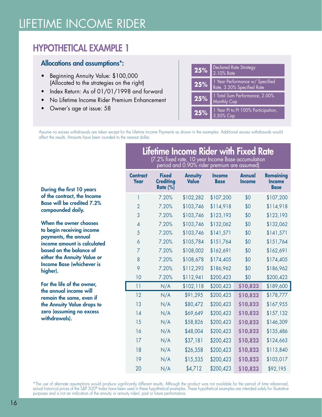# LIFETIME INCOME RIDER

### HYPOTHETICAL EXAMPLE 1

### Allocations and assumptions\*:

- Beginning Annuity Value: \$100,000 (Allocated to the strategies on the right)
- Index Return: As of 01/01/1998 and forward
- No Lifetime Income Rider Premium Enhancement
- Owner's age at issue: 58

| 25% | <b>Declared Rate Strategy</b><br>$\overline{2.10\% R}$ ate    |
|-----|---------------------------------------------------------------|
| 25% | 1 Year Performance w/ Specified<br>Rate, 3.30% Specified Rate |
| 25% | 1 Total Sum Performance, 2.00%<br><b>Monthly Cap</b>          |
| 25% | 1 Year Pt to Pt 100% Participation,<br>3.50% Cap              |

Lifetime Income Rider with Fixed Rate (7.2% fixed rate, 10 year Income Base accumulation

Assume no excess withdrawals are taken except for the Lifetime Income Payments as shown in the examples. Additional excess withdrawals would affect the results. Amounts have been rounded to the nearest dollar.

|                                                    |                         |                                                  | period and 0.90% rider premium are assumed] |                              |                                |                                                  |
|----------------------------------------------------|-------------------------|--------------------------------------------------|---------------------------------------------|------------------------------|--------------------------------|--------------------------------------------------|
| the first 10 years                                 | <b>Contract</b><br>Year | <b>Fixed</b><br><b>Crediting</b><br>Rate $(\% )$ | <b>Annuity</b><br><b>Value</b>              | <b>Income</b><br><b>Base</b> | <b>Annual</b><br><b>Income</b> | <b>Remaining</b><br><b>Income</b><br><b>Base</b> |
| ontract, the Income                                | $\mathbf{1}$            | 7.20%                                            | \$102,282                                   | \$107,200                    | \$0                            | \$107,200                                        |
| ill be credited 7.2%                               | $\overline{2}$          | 7.20%                                            | \$103,746                                   | \$114,918                    | \$0                            | \$114,918                                        |
| unded daily.                                       | 3                       | 7.20%                                            | \$103,746                                   | \$123,193                    | \$0                            | \$123,193                                        |
| the owner chooses                                  | $\overline{4}$          | 7.20%                                            | \$103,746                                   | \$132,062                    | \$0                            | \$132,062                                        |
| n receiving income                                 | 5                       | 7.20%                                            | \$103,746                                   | \$141,571                    | \$0                            | \$141,571                                        |
| nts, the annual<br>amount is calculated            | 6                       | 7.20%                                            | \$105,784                                   | \$151,764                    | \$0                            | \$151,764                                        |
| on the balance of                                  | $\overline{7}$          | 7.20%                                            | \$108,002                                   | \$162,691                    | \$0                            | \$162,691                                        |
| he Annuity Value or                                | 8                       | 7.20%                                            | \$108,678                                   | \$174,405                    | \$0                            | \$174,405                                        |
| <b>Base (whichever is</b>                          | 9                       | 7.20%                                            | \$112,293                                   | \$186,962                    | \$0                            | \$186,962                                        |
|                                                    | 10                      | 7.20%                                            | \$112,941                                   | \$200,423                    | \$0                            | \$200,423                                        |
| life of the owner,                                 | 11                      | N/A                                              | \$102,118                                   | \$200,423                    | \$10,823                       | \$189,600                                        |
| <b><u>ual income will</u></b><br>the same, even if | 12                      | N/A                                              | \$91,295                                    | \$200,423                    | \$10,823                       | \$178,777                                        |
| <b>nuity Value drops to</b>                        | 13                      | N/A                                              | \$80,472                                    | \$200,423                    | \$10,823                       | \$167,955                                        |
| ssuming no excess                                  | 14                      | N/A                                              | \$69,649                                    | \$200,423                    | \$10,823                       | \$157,132                                        |
| awals).                                            | 15                      | N/A                                              | \$58,826                                    | \$200,423                    | \$10,823                       | \$146,309                                        |
|                                                    | 16                      | N/A                                              | \$48,004                                    | \$200,423                    | \$10,823                       | \$135,486                                        |
|                                                    | 17                      | N/A                                              | \$37,181                                    | \$200,423                    | \$10,823                       | \$124,663                                        |
|                                                    | 18                      | N/A                                              | \$26,358                                    | \$200,423                    | \$10,823                       | \$113,840                                        |
|                                                    | 19                      | N/A                                              | \$15,535                                    | \$200,423                    | \$10,823                       | \$103,017                                        |
|                                                    | 20                      | N/A                                              | \$4,712                                     | \$200,423                    | \$10,823                       | \$92,195                                         |

\*The use of alternate assumptions would produce significantly different results. Although the product was not available for the period of time referenced, actual historical prices of the S&P 500® Index have been used in these hypothetical examples. These hypothetical examples are intended solely for illustrative purposes and is not an indication of the annuity or annuity riders' past or future performance.

**During** of the c **Base w** compo

When t to begin paymen income based on either th **Income** higher).

For the the ann remain the Ann zero las withdra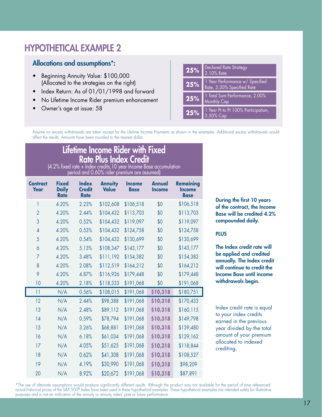### HYPOTHETICAL EXAMPLE 2

#### Allocations and assumptions\*:

- Beginning Annuity Value: \$100,000 (Allocated to the strategies on the right)
- Index Return: As of 01/01/1998 and forward
- No Lifetime Income Rider premium enhancement
- Owner's age at issue: 58

| 25% | <b>Declared Rate Strategy</b><br>2.10% Rate                   |
|-----|---------------------------------------------------------------|
| 25% | 1 Year Performance w/ Specified<br>Rate, 3.30% Specified Rate |
| 25% | 1 Total Sum Performance, 2.00%<br><b>Monthly Cap</b>          |
| 25% | 1 Year Pt to Pt 100% Participation,<br>$3.50\%$ Cap           |

Assume no excess withdrawals are taken except for the Lifetime Income Payments as shown in the examples. Additional excess withdrawals would affect the results. Amounts have been rounded to the nearest dollar.

### Lifetime Income Rider with Fixed Rate Plus Index Credit

(4.2% fixed rate + Index credits,10 year Income Base accumulation period and 0.60% rider premium are assumed)

| <b>Contract</b><br>Year | <b>Fixed</b><br><b>Daily</b><br><b>Rate</b> | <b>Index</b><br><b>Credit</b><br><b>Rate</b> | <b>Annuity</b><br><b>Value</b> | <b>Income</b><br><b>Base</b> | Annual<br><b>Income</b> | <b>Remaining</b><br><b>Income</b><br><b>Base</b> |
|-------------------------|---------------------------------------------|----------------------------------------------|--------------------------------|------------------------------|-------------------------|--------------------------------------------------|
| 1                       | 4.20%                                       | 2.23%                                        | \$102,608                      | \$106,518                    | \$0                     | \$106,518                                        |
| $\overline{2}$          | 4.20%                                       | 2.44%                                        | \$104,432                      | \$113,703                    | \$0                     | \$113,703                                        |
| 3                       | 4.20%                                       | 0.52%                                        | \$104,432                      | \$119,097                    | \$0                     | \$119,097                                        |
| $\overline{4}$          | 4.20%                                       | 0.53%                                        | \$104,432                      | \$124,758                    | \$0                     | \$124,758                                        |
| 5                       | 4.20%                                       | 0.54%                                        | \$104,432                      | \$130,699                    | \$0                     | \$130,699                                        |
| 6                       | 4.20%                                       | 5.13%                                        | \$108,347                      | \$143,177                    | \$0                     | \$143,177                                        |
| $\overline{7}$          | 4.20%                                       | 3.48%                                        | \$111,192                      | \$154,382                    | \$0                     | \$154,382                                        |
| 8                       | 4.20%                                       | 2.08%                                        | \$112,519                      | \$164,212                    | \$0                     | \$164,212                                        |
| 9                       | 4.20%                                       | 4.87%                                        | \$116,926                      | \$179,448                    | \$0                     | \$179,448                                        |
| 10                      | 4.20%                                       | 2.18%                                        | \$118,333                      | \$191,068                    | \$0                     | \$191,068                                        |
| 11                      | N/A                                         | 0.56%                                        | \$108,015                      | \$191,068                    | \$10,318                | \$180,751                                        |
| 12                      | N/A                                         | 2.44%                                        | \$98,388                       | \$191,068                    | \$10,318                | \$170,433                                        |
| 13                      | N/A                                         | 2.48%                                        | \$89,112                       | \$191,068                    | \$10,318                | \$160, 115                                       |
| 14                      | N/A                                         | 0.59%                                        | \$78,794                       | \$191,068                    | \$10,318                | \$149,798                                        |
| 15                      | N/A                                         | 3.26%                                        | \$68,881                       | \$191,068                    | \$10,318                | \$139,480                                        |
| 16                      | N/A                                         | 6.18%                                        | \$61,034                       | \$191,068                    | \$10,318                | \$129,162                                        |
| 17                      | N/A                                         | 4.05%                                        | \$51,625                       | \$191,068                    | \$10,318                | \$118,844                                        |
| 18                      | N/A                                         | 0.62%                                        | \$41,308                       | \$191,068                    | \$10,318                | \$108,527                                        |
| 19                      | N/A                                         | 4.19%                                        | \$30,990                       | \$191,068                    | \$10,318                | \$98,209                                         |
| 20                      | N/A                                         | 8.92%                                        | \$20,672                       | \$191,068                    | \$10,318                | \$87,891                                         |

During the first 10 years of the contract, the Income Base will be credited 4.2% compounded daily.

#### PLUS

The Index credit rate will be applied and credited annually. The Index credit will continue to credit the Income Base until income withdrawals begin.

Index credit rate is equal to your index credits earned in the previous year divided by the total amount of your premium allocated to indexed crediting.

\*The use of alternate assumptions would produce significantly different results. Although the product was not available for the period of time referenced, actual historical prices of the S&P 500® Index have been used in these hypothetical examples. These hypothetical examples are intended solely for illustrative purposes and is not an indication of the annuity or annuity riders' past or future performance.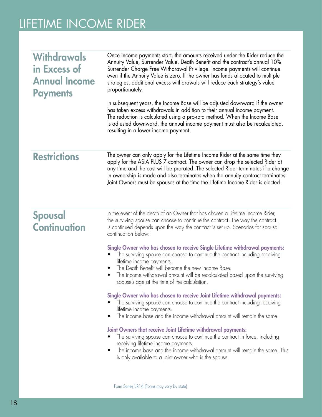# LIFETIME INCOME RIDER

| <b>Withdrawals</b><br>in Excess of<br><b>Annual Income</b><br><b>Payments</b> | Once income payments start, the amounts received under the Rider reduce the<br>Annuity Value, Surrender Value, Death Benefit and the contract's annual 10%<br>Surrender Charge Free Withdrawal Privilege. Income payments will continue<br>even if the Annuity Value is zero. If the owner has funds allocated to multiple<br>strategies, additional excess withdrawals will reduce each strategy's value<br>proportionately.<br>In subsequent years, the Income Base will be adjusted downward if the owner<br>has taken excess withdrawals in addition to their annual income payment.<br>The reduction is calculated using a pro-rata method. When the Income Base<br>is adjusted downward, the annual income payment must also be recalculated,<br>resulting in a lower income payment.                                                                                                                                                                                                                                                                                                                                                                                                                                                                     |
|-------------------------------------------------------------------------------|-----------------------------------------------------------------------------------------------------------------------------------------------------------------------------------------------------------------------------------------------------------------------------------------------------------------------------------------------------------------------------------------------------------------------------------------------------------------------------------------------------------------------------------------------------------------------------------------------------------------------------------------------------------------------------------------------------------------------------------------------------------------------------------------------------------------------------------------------------------------------------------------------------------------------------------------------------------------------------------------------------------------------------------------------------------------------------------------------------------------------------------------------------------------------------------------------------------------------------------------------------------------|
| <b>Restrictions</b>                                                           | The owner can only apply for the Lifetime Income Rider at the same time they<br>apply for the ASIA PLUS 7 contract. The owner can drop the selected Rider at<br>any time and the cost will be prorated. The selected Rider terminates if a change<br>in ownership is made and also terminates when the annuity contract terminates.<br>Joint Owners must be spouses at the time the Lifetime Income Rider is elected.                                                                                                                                                                                                                                                                                                                                                                                                                                                                                                                                                                                                                                                                                                                                                                                                                                           |
| Spousal<br><b>Continuation</b>                                                | In the event of the death of an Owner that has chosen a Lifetime Income Rider,<br>the surviving spouse can choose to continue the contract. The way the contract<br>is continued depends upon the way the contract is set up. Scenarios for spousal<br>continuation below:<br>Single Owner who has chosen to receive Single Lifetime withdrawal payments:<br>The surviving spouse can choose to continue the contract including receiving<br>lifetime income payments.<br>The Death Benefit will become the new Income Base.<br>The income withdrawal amount will be recalculated based upon the surviving<br>spouse's age at the time of the calculation.<br>Single Owner who has chosen to receive Joint Lifetime withdrawal payments:<br>The surviving spouse can choose to continue the contract including receiving<br>lifetime income payments.<br>The income base and the income withdrawal amount will remain the same.<br>Joint Owners that receive Joint Lifetime withdrawal payments:<br>The surviving spouse can choose to continue the contract in force, including<br>receiving lifetime income payments.<br>The income base and the income withdrawal amount will remain the same. This<br>is only available to a joint owner who is the spouse. |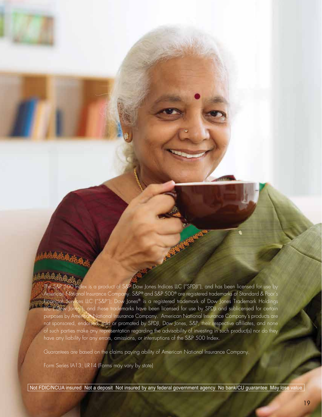The S&P 500 Index is a product of S&P Dow Jones Indices LLC ("SPDJI"), and has been licensed for use by American National Insurance Company. S&P® and S&P 500® are registered trademarks of Standard & Poor's Financial Services LLC ("S&P"); Dow Jones® is a registered trademark of Dow Jones Trademark Holdings LLC ("Dow Jones"); and these trademarks have been licensed for use by SPDJI and sublicensed for certain purposes by American National Insurance Company. American National Insurance Company's products are not sponsored, endorsed, sold or promoted by SPDJI, Dow Jones, S&P, their respective affiliates, and none of such parties make any representation regarding the advisability of investing in such product(s) nor do they have any liability for any errors, omissions, or interruptions of the S&P 500 Index.

Guarantees are based on the claims paying ability of American National Insurance Company.

Form Series IA13; LIR14 (Forms may vary by state)

Not FDIC/NCUA insured Not a deposit Not insured by any federal government agency No bank/CU guarantee May lose value